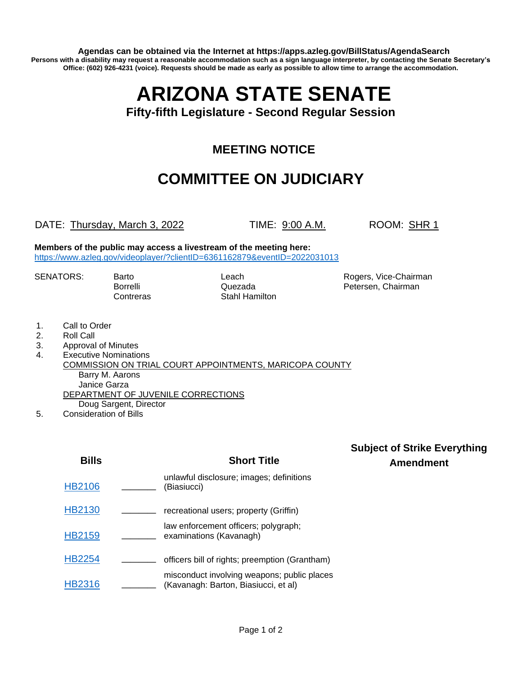**Agendas can be obtained via the Internet at https://apps.azleg.gov/BillStatus/AgendaSearch Persons with a disability may request a reasonable accommodation such as a sign language interpreter, by contacting the Senate Secretary's Office: (602) 926-4231 (voice). Requests should be made as early as possible to allow time to arrange the accommodation.**

# **ARIZONA STATE SENATE**

**Fifty-fifth Legislature - Second Regular Session**

## **MEETING NOTICE**

# **COMMITTEE ON JUDICIARY**

#### DATE: Thursday, March 3, 2022 TIME: 9:00 A.M. ROOM: SHR 1

**Members of the public may access a livestream of the meeting here:**  <https://www.azleg.gov/videoplayer/?clientID=6361162879&eventID=2022031013>

Contreras Stahl Hamilton

SENATORS: Barto **Barto Rogers, Vice-Chairman** Borrelli **Cuezada** Petersen, Chairman Quezada

- 1. Call to Order
- 2. Roll Call
- 3. Approval of Minutes
- 4. Executive Nominations
- COMMISSION ON TRIAL COURT APPOINTMENTS, MARICOPA COUNTY Barry M. Aarons Janice Garza DEPARTMENT OF JUVENILE CORRECTIONS Doug Sargent, Director
- 5. Consideration of Bills

| Bills         | <b>Short Title</b>                                                                  |
|---------------|-------------------------------------------------------------------------------------|
| <b>HB2106</b> | unlawful disclosure; images; definitions<br>(Biasiucci)                             |
| HB2130        | recreational users; property (Griffin)                                              |
| HB2159        | law enforcement officers; polygraph;<br>examinations (Kavanagh)                     |
| HB2254        | officers bill of rights; preemption (Grantham)                                      |
|               | misconduct involving weapons; public places<br>(Kavanagh: Barton, Biasiucci, et al) |

#### **Subject of Strike Everything Amendment**